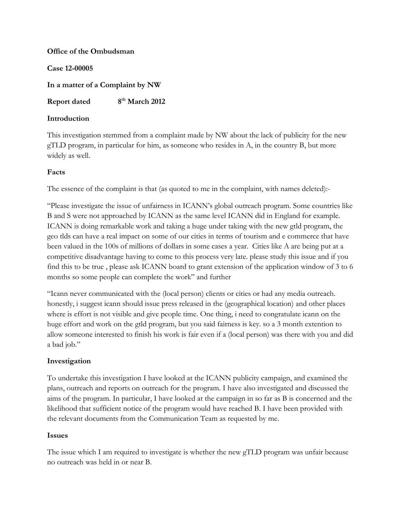# **Office of the Ombudsman Case 12-00005 In a matter of a Complaint by NW**

**Report dated 8th March 2012**

# **Introduction**

This investigation stemmed from a complaint made by NW about the lack of publicity for the new gTLD program, in particular for him, as someone who resides in A, in the country B, but more widely as well.

# **Facts**

The essence of the complaint is that (as quoted to me in the complaint, with names deleted):-

"Please investigate the issue of unfairness in ICANN's global outreach program. Some countries like B and S were not approached by ICANN as the same level ICANN did in England for example. ICANN is doing remarkable work and taking a huge under taking with the new gtld program, the geo tlds can have a real impact on some of our cities in terms of tourism and e commerce that have been valued in the 100s of millions of dollars in some cases a year. Cities like A are being put at a competitive disadvantage having to come to this process very late. please study this issue and if you find this to be true , please ask ICANN board to grant extension of the application window of 3 to 6 months so some people can complete the work" and further

"Icann never communicated with the (local person) clients or cities or had any media outreach. honestly, i suggest icann should issue press released in the (geographical location) and other places where is effort is not visible and give people time. One thing, i need to congratulate icann on the huge effort and work on the gtld program, but you said fairness is key. so a 3 month extention to allow someone interested to finish his work is fair even if a (local person) was there with you and did a bad job."

### **Investigation**

To undertake this investigation I have looked at the ICANN publicity campaign, and examined the plans, outreach and reports on outreach for the program. I have also investigated and discussed the aims of the program. In particular, I have looked at the campaign in so far as B is concerned and the likelihood that sufficient notice of the program would have reached B. I have been provided with the relevant documents from the Communication Team as requested by me.

### **Issues**

The issue which I am required to investigate is whether the new gTLD program was unfair because no outreach was held in or near B.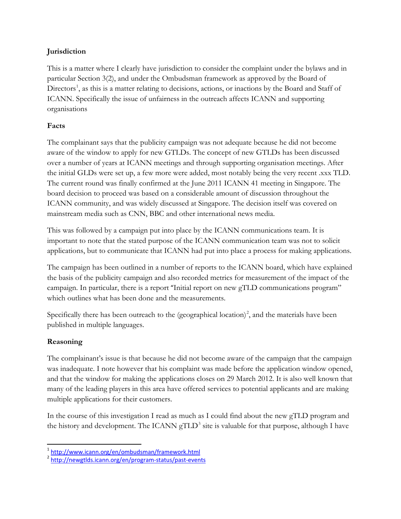# **Jurisdiction**

This is a matter where I clearly have jurisdiction to consider the complaint under the bylaws and in particular Section 3(2), and under the Ombudsman framework as approved by the Board of Directors<sup>[1](#page-1-0)</sup>, as this is a matter relating to decisions, actions, or inactions by the Board and Staff of ICANN. Specifically the issue of unfairness in the outreach affects ICANN and supporting organisations

# **Facts**

The complainant says that the publicity campaign was not adequate because he did not become aware of the window to apply for new GTLDs. The concept of new GTLDs has been discussed over a number of years at ICANN meetings and through supporting organisation meetings. After the initial GLDs were set up, a few more were added, most notably being the very recent .xxx TLD. The current round was finally confirmed at the June 2011 ICANN 41 meeting in Singapore. The board decision to proceed was based on a considerable amount of discussion throughout the ICANN community, and was widely discussed at Singapore. The decision itself was covered on mainstream media such as CNN, BBC and other international news media.

This was followed by a campaign put into place by the ICANN communications team. It is important to note that the stated purpose of the ICANN communication team was not to solicit applications, but to communicate that ICANN had put into place a process for making applications.

The campaign has been outlined in a number of reports to the ICANN board, which have explained the basis of the publicity campaign and also recorded metrics for measurement of the impact of the campaign. In particular, there is a report "Initial report on new gTLD communications program" which outlines what has been done and the measurements.

Specifically there has been outreach to the (geographical location)<sup>[2](#page-1-1)</sup>, and the materials have been published in multiple languages.

### **Reasoning**

The complainant's issue is that because he did not become aware of the campaign that the campaign was inadequate. I note however that his complaint was made before the application window opened, and that the window for making the applications closes on 29 March 2012. It is also well known that many of the leading players in this area have offered services to potential applicants and are making multiple applications for their customers.

In the course of this investigation I read as much as I could find about the new gTLD program and the history and development. The ICANN  $gTLD<sup>3</sup>$  $gTLD<sup>3</sup>$  $gTLD<sup>3</sup>$  site is valuable for that purpose, although I have

<span id="page-1-2"></span><span id="page-1-0"></span> <sup>1</sup> <http://www.icann.org/en/ombudsman/framework.html>

<span id="page-1-1"></span><sup>&</sup>lt;sup>2</sup> <http://newgtlds.icann.org/en/program-status/past-events>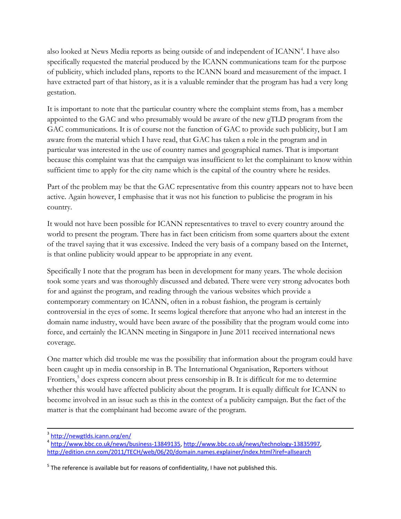also looked at News Media reports as being outside of and independent of ICANN<sup>[4](#page-2-0)</sup>. I have also specifically requested the material produced by the ICANN communications team for the purpose of publicity, which included plans, reports to the ICANN board and measurement of the impact. I have extracted part of that history, as it is a valuable reminder that the program has had a very long gestation.

It is important to note that the particular country where the complaint stems from, has a member appointed to the GAC and who presumably would be aware of the new gTLD program from the GAC communications. It is of course not the function of GAC to provide such publicity, but I am aware from the material which I have read, that GAC has taken a role in the program and in particular was interested in the use of country names and geographical names. That is important because this complaint was that the campaign was insufficient to let the complainant to know within sufficient time to apply for the city name which is the capital of the country where he resides.

Part of the problem may be that the GAC representative from this country appears not to have been active. Again however, I emphasise that it was not his function to publicise the program in his country.

It would not have been possible for ICANN representatives to travel to every country around the world to present the program. There has in fact been criticism from some quarters about the extent of the travel saying that it was excessive. Indeed the very basis of a company based on the Internet, is that online publicity would appear to be appropriate in any event.

Specifically I note that the program has been in development for many years. The whole decision took some years and was thoroughly discussed and debated. There were very strong advocates both for and against the program, and reading through the various websites which provide a contemporary commentary on ICANN, often in a robust fashion, the program is certainly controversial in the eyes of some. It seems logical therefore that anyone who had an interest in the domain name industry, would have been aware of the possibility that the program would come into force, and certainly the ICANN meeting in Singapore in June 2011 received international news coverage.

One matter which did trouble me was the possibility that information about the program could have been caught up in media censorship in B. The International Organisation, Reporters without Frontiers,<sup>[5](#page-2-1)</sup> does express concern about press censorship in B. It is difficult for me to determine whether this would have affected publicity about the program. It is equally difficult for ICANN to become involved in an issue such as this in the context of a publicity campaign. But the fact of the matter is that the complainant had become aware of the program.

 <sup>3</sup> <http://newgtlds.icann.org/en/>

<span id="page-2-0"></span><sup>4</sup> [http://www.bbc.co.uk/news/business-13849135,](http://www.bbc.co.uk/news/business-13849135) [http://www.bbc.co.uk/news/technology-13835997,](http://www.bbc.co.uk/news/technology-13835997) <http://edition.cnn.com/2011/TECH/web/06/20/domain.names.explainer/index.html?iref=allsearch>

<span id="page-2-1"></span> $5$  The reference is available but for reasons of confidentiality, I have not published this.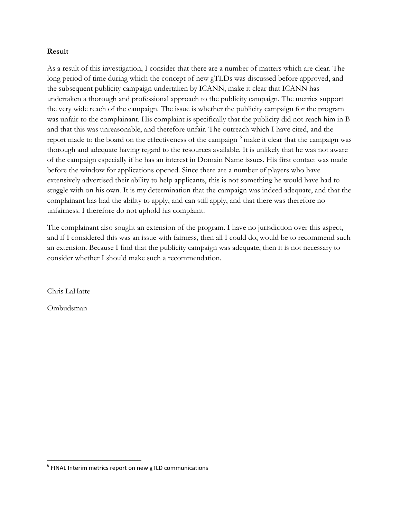#### **Result**

As a result of this investigation, I consider that there are a number of matters which are clear. The long period of time during which the concept of new gTLDs was discussed before approved, and the subsequent publicity campaign undertaken by ICANN, make it clear that ICANN has undertaken a thorough and professional approach to the publicity campaign. The metrics support the very wide reach of the campaign. The issue is whether the publicity campaign for the program was unfair to the complainant. His complaint is specifically that the publicity did not reach him in B and that this was unreasonable, and therefore unfair. The outreach which I have cited, and the report made to the board on the effectiveness of the campaign <sup>[6](#page-3-0)</sup> make it clear that the campaign was thorough and adequate having regard to the resources available. It is unlikely that he was not aware of the campaign especially if he has an interest in Domain Name issues. His first contact was made before the window for applications opened. Since there are a number of players who have extensively advertised their ability to help applicants, this is not something he would have had to stuggle with on his own. It is my determination that the campaign was indeed adequate, and that the complainant has had the ability to apply, and can still apply, and that there was therefore no unfairness. I therefore do not uphold his complaint.

The complainant also sought an extension of the program. I have no jurisdiction over this aspect, and if I considered this was an issue with fairness, then all I could do, would be to recommend such an extension. Because I find that the publicity campaign was adequate, then it is not necessary to consider whether I should make such a recommendation.

Chris LaHatte

Ombudsman

<span id="page-3-0"></span> $6$  FINAL Interim metrics report on new gTLD communications